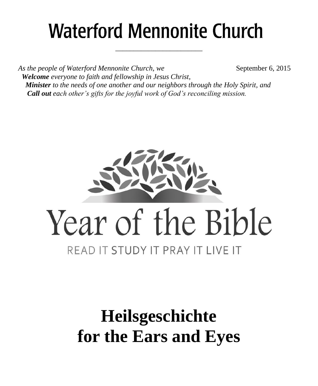# **Waterford Mennonite Church**

\_\_\_\_\_\_\_\_\_\_\_\_\_\_\_\_\_\_\_\_\_\_\_\_

*As the people of Waterford Mennonite Church, we* September 6, 2015  *Welcome everyone to faith and fellowship in Jesus Christ, Minister to the needs of one another and our neighbors through the Holy Spirit, and Call out each other's gifts for the joyful work of God's reconciling mission.*



# **Heilsgeschichte for the Ears and Eyes**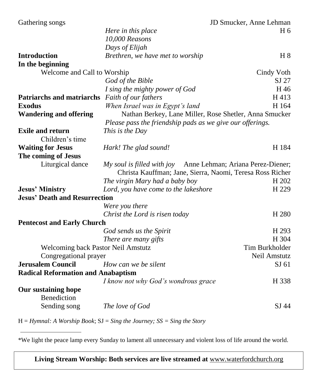| Gathering songs                           |                                                                               | JD Smucker, Anne Lehman |
|-------------------------------------------|-------------------------------------------------------------------------------|-------------------------|
|                                           | Here in this place                                                            | H <sub>6</sub>          |
|                                           | 10,000 Reasons                                                                |                         |
|                                           | Days of Elijah                                                                |                         |
| <b>Introduction</b>                       | Brethren, we have met to worship                                              | H 8                     |
| In the beginning                          |                                                                               |                         |
| Welcome and Call to Worship               |                                                                               | Cindy Voth              |
|                                           | God of the Bible                                                              | SJ 27                   |
|                                           | I sing the mighty power of God                                                | H 46                    |
| <b>Patriarchs and matriarchs</b>          | Faith of our fathers                                                          | H413                    |
| <b>Exodus</b>                             | When Israel was in Egypt's land                                               | H 164                   |
| <b>Wandering and offering</b>             | Nathan Berkey, Lane Miller, Rose Shetler, Anna Smucker                        |                         |
|                                           | Please pass the friendship pads as we give our offerings.                     |                         |
| <b>Exile and return</b>                   | This is the Day                                                               |                         |
| Children's time                           |                                                                               |                         |
| <b>Waiting for Jesus</b>                  | Hark! The glad sound!                                                         | H 184                   |
| The coming of Jesus                       |                                                                               |                         |
| Liturgical dance                          | My soul is filled with joy Anne Lehman; Ariana Perez-Diener;                  |                         |
|                                           | Christa Kauffman; Jane, Sierra, Naomi, Teresa Ross Richer                     |                         |
|                                           | The virgin Mary had a baby boy                                                | H 202                   |
| <b>Jesus' Ministry</b>                    | Lord, you have come to the lakeshore                                          | H <sub>229</sub>        |
| <b>Jesus' Death and Resurrection</b>      |                                                                               |                         |
|                                           | Were you there                                                                |                         |
|                                           | Christ the Lord is risen today                                                | H <sub>280</sub>        |
| <b>Pentecost and Early Church</b>         |                                                                               |                         |
|                                           | God sends us the Spirit                                                       | H 293                   |
|                                           | There are many gifts                                                          | H 304                   |
| Welcoming back Pastor Neil Amstutz        |                                                                               | Tim Burkholder          |
| Congregational prayer                     |                                                                               | Neil Amstutz            |
| <b>Jerusalem Council</b>                  | How can we be silent                                                          | SI 61                   |
| <b>Radical Reformation and Anabaptism</b> |                                                                               |                         |
|                                           | I know not why God's wondrous grace                                           | H 338                   |
| <b>Our sustaining hope</b>                |                                                                               |                         |
| Benediction                               |                                                                               |                         |
| Sending song                              | The love of God                                                               | SJ 44                   |
|                                           | $H = Hymnal$ : A Worship Book; $SJ = Sing$ the Journey; $SS = Sing$ the Story |                         |

**Living Stream Worship: Both services are live streamed at** [www.waterfordchurch.org](http://www.waterfordchurch.org/)

<sup>\*</sup>We light the peace lamp every Sunday to lament all unnecessary and violent loss of life around the world.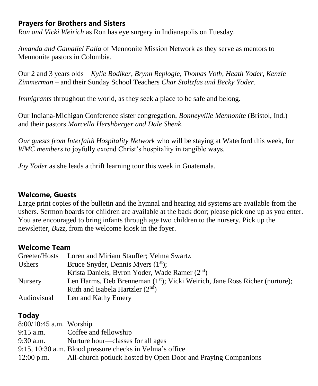# **Prayers for Brothers and Sisters**

*Ron and Vicki Weirich* as Ron has eye surgery in Indianapolis on Tuesday.

*Amanda and Gamaliel Falla* of Mennonite Mission Network as they serve as mentors to Mennonite pastors in Colombia.

Our 2 and 3 years olds *– Kylie Bodiker, Brynn Replogle, Thomas Voth, Heath Yoder, Kenzie Zimmerman –* and their Sunday School Teachers *Char Stoltzfus and Becky Yoder.*

*Immigrants* throughout the world, as they seek a place to be safe and belong.

Our Indiana-Michigan Conference sister congregation, *Bonneyville Mennonite* (Bristol, Ind.) and their pastors *Marcella Hershberger and Dale Shenk.*

*Our guests from Interfaith Hospitality Network* who will be staying at Waterford this week, for *WMC members* to joyfully extend Christ's hospitality in tangible ways.

*Joy Yoder* as she leads a thrift learning tour this week in Guatemala.

#### **Welcome, Guests**

Large print copies of the bulletin and the hymnal and hearing aid systems are available from the ushers. Sermon boards for children are available at the back door; please pick one up as you enter. You are encouraged to bring infants through age two children to the nursery. Pick up the newsletter, *Buzz,* from the welcome kiosk in the foyer.

#### **Welcome Team**

| Greeter/Hosts  | Loren and Miriam Stauffer; Velma Swartz                                                 |
|----------------|-----------------------------------------------------------------------------------------|
| Ushers         | Bruce Snyder, Dennis Myers $(1st)$ ;                                                    |
|                | Krista Daniels, Byron Yoder, Wade Ramer (2nd)                                           |
| <b>Nursery</b> | Len Harms, Deb Brenneman (1 <sup>st</sup> ); Vicki Weirich, Jane Ross Richer (nurture); |
|                | Ruth and Isabela Hartzler $(2nd)$                                                       |
| Audiovisual    | Len and Kathy Emery                                                                     |

## **Today**

| $8:00/10:45$ a.m. Worship                                                |
|--------------------------------------------------------------------------|
| Coffee and fellowship                                                    |
| Nurture hour—classes for all ages                                        |
| 9:15, 10:30 a.m. Blood pressure checks in Velma's office                 |
| 12:00 p.m. All-church potluck hosted by Open Door and Praying Companions |
|                                                                          |